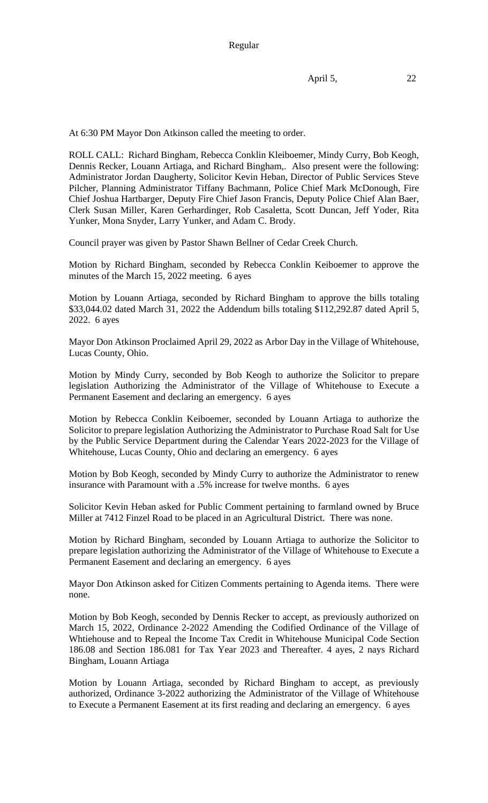At 6:30 PM Mayor Don Atkinson called the meeting to order.

ROLL CALL: Richard Bingham, Rebecca Conklin Kleiboemer, Mindy Curry, Bob Keogh, Dennis Recker, Louann Artiaga, and Richard Bingham,. Also present were the following: Administrator Jordan Daugherty, Solicitor Kevin Heban, Director of Public Services Steve Pilcher, Planning Administrator Tiffany Bachmann, Police Chief Mark McDonough, Fire Chief Joshua Hartbarger, Deputy Fire Chief Jason Francis, Deputy Police Chief Alan Baer, Clerk Susan Miller, Karen Gerhardinger, Rob Casaletta, Scott Duncan, Jeff Yoder, Rita Yunker, Mona Snyder, Larry Yunker, and Adam C. Brody.

Council prayer was given by Pastor Shawn Bellner of Cedar Creek Church.

Motion by Richard Bingham, seconded by Rebecca Conklin Keiboemer to approve the minutes of the March 15, 2022 meeting. 6 ayes

Motion by Louann Artiaga, seconded by Richard Bingham to approve the bills totaling \$33,044.02 dated March 31, 2022 the Addendum bills totaling \$112,292.87 dated April 5, 2022. 6 ayes

Mayor Don Atkinson Proclaimed April 29, 2022 as Arbor Day in the Village of Whitehouse, Lucas County, Ohio.

Motion by Mindy Curry, seconded by Bob Keogh to authorize the Solicitor to prepare legislation Authorizing the Administrator of the Village of Whitehouse to Execute a Permanent Easement and declaring an emergency. 6 ayes

Motion by Rebecca Conklin Keiboemer, seconded by Louann Artiaga to authorize the Solicitor to prepare legislation Authorizing the Administrator to Purchase Road Salt for Use by the Public Service Department during the Calendar Years 2022-2023 for the Village of Whitehouse, Lucas County, Ohio and declaring an emergency. 6 ayes

Motion by Bob Keogh, seconded by Mindy Curry to authorize the Administrator to renew insurance with Paramount with a .5% increase for twelve months. 6 ayes

Solicitor Kevin Heban asked for Public Comment pertaining to farmland owned by Bruce Miller at 7412 Finzel Road to be placed in an Agricultural District. There was none.

Motion by Richard Bingham, seconded by Louann Artiaga to authorize the Solicitor to prepare legislation authorizing the Administrator of the Village of Whitehouse to Execute a Permanent Easement and declaring an emergency. 6 ayes

Mayor Don Atkinson asked for Citizen Comments pertaining to Agenda items. There were none.

Motion by Bob Keogh, seconded by Dennis Recker to accept, as previously authorized on March 15, 2022, Ordinance 2-2022 Amending the Codified Ordinance of the Village of Whtiehouse and to Repeal the Income Tax Credit in Whitehouse Municipal Code Section 186.08 and Section 186.081 for Tax Year 2023 and Thereafter. 4 ayes, 2 nays Richard Bingham, Louann Artiaga

Motion by Louann Artiaga, seconded by Richard Bingham to accept, as previously authorized, Ordinance 3-2022 authorizing the Administrator of the Village of Whitehouse to Execute a Permanent Easement at its first reading and declaring an emergency. 6 ayes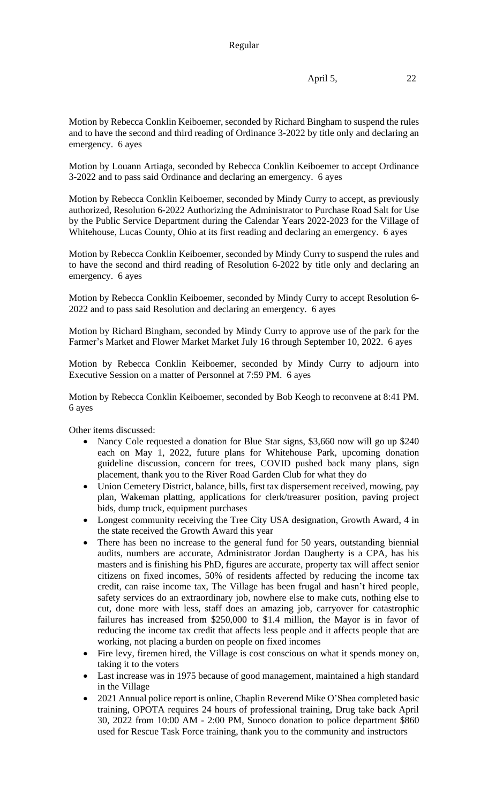Motion by Rebecca Conklin Keiboemer, seconded by Richard Bingham to suspend the rules and to have the second and third reading of Ordinance 3-2022 by title only and declaring an emergency. 6 ayes

Motion by Louann Artiaga, seconded by Rebecca Conklin Keiboemer to accept Ordinance 3-2022 and to pass said Ordinance and declaring an emergency. 6 ayes

Motion by Rebecca Conklin Keiboemer, seconded by Mindy Curry to accept, as previously authorized, Resolution 6-2022 Authorizing the Administrator to Purchase Road Salt for Use by the Public Service Department during the Calendar Years 2022-2023 for the Village of Whitehouse, Lucas County, Ohio at its first reading and declaring an emergency. 6 ayes

Motion by Rebecca Conklin Keiboemer, seconded by Mindy Curry to suspend the rules and to have the second and third reading of Resolution 6-2022 by title only and declaring an emergency. 6 ayes

Motion by Rebecca Conklin Keiboemer, seconded by Mindy Curry to accept Resolution 6- 2022 and to pass said Resolution and declaring an emergency. 6 ayes

Motion by Richard Bingham, seconded by Mindy Curry to approve use of the park for the Farmer's Market and Flower Market Market July 16 through September 10, 2022. 6 ayes

Motion by Rebecca Conklin Keiboemer, seconded by Mindy Curry to adjourn into Executive Session on a matter of Personnel at 7:59 PM. 6 ayes

Motion by Rebecca Conklin Keiboemer, seconded by Bob Keogh to reconvene at 8:41 PM. 6 ayes

Other items discussed:

- Nancy Cole requested a donation for Blue Star signs, \$3,660 now will go up \$240 each on May 1, 2022, future plans for Whitehouse Park, upcoming donation guideline discussion, concern for trees, COVID pushed back many plans, sign placement, thank you to the River Road Garden Club for what they do
- Union Cemetery District, balance, bills, first tax dispersement received, mowing, pay plan, Wakeman platting, applications for clerk/treasurer position, paving project bids, dump truck, equipment purchases
- Longest community receiving the Tree City USA designation, Growth Award, 4 in the state received the Growth Award this year
- There has been no increase to the general fund for 50 years, outstanding biennial audits, numbers are accurate, Administrator Jordan Daugherty is a CPA, has his masters and is finishing his PhD, figures are accurate, property tax will affect senior citizens on fixed incomes, 50% of residents affected by reducing the income tax credit, can raise income tax, The Village has been frugal and hasn't hired people, safety services do an extraordinary job, nowhere else to make cuts, nothing else to cut, done more with less, staff does an amazing job, carryover for catastrophic failures has increased from \$250,000 to \$1.4 million, the Mayor is in favor of reducing the income tax credit that affects less people and it affects people that are working, not placing a burden on people on fixed incomes
- Fire levy, firemen hired, the Village is cost conscious on what it spends money on, taking it to the voters
- Last increase was in 1975 because of good management, maintained a high standard in the Village
- 2021 Annual police report is online, Chaplin Reverend Mike O'Shea completed basic training, OPOTA requires 24 hours of professional training, Drug take back April 30, 2022 from 10:00 AM - 2:00 PM, Sunoco donation to police department \$860 used for Rescue Task Force training, thank you to the community and instructors